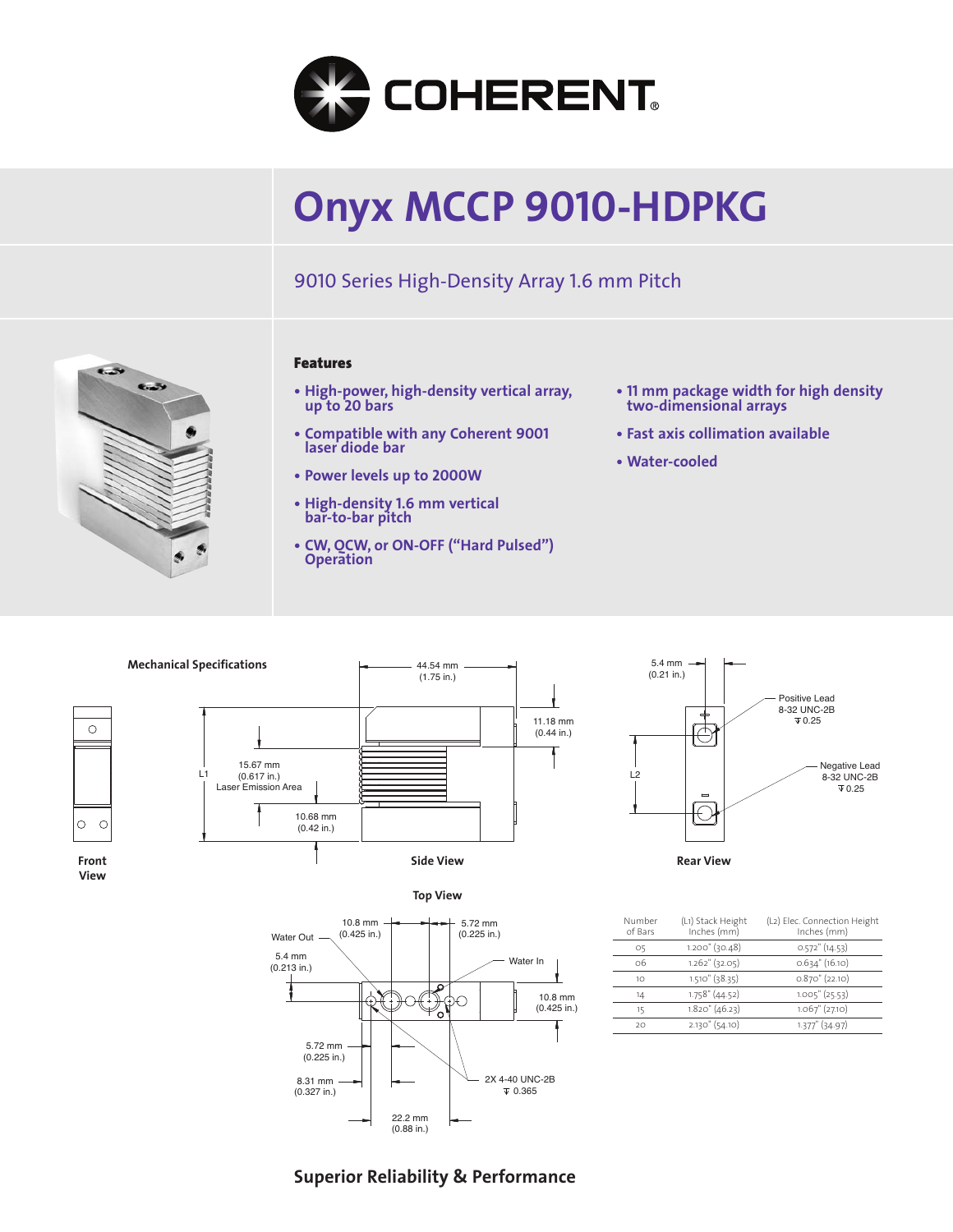

# **Onyx MCCP 9010-HDPKG**

11.18 mm (0.44 in.)

9010 Series High-Density Array 1.6 mm Pitch



### **Features**

- **High-power, high-density vertical array, up to 20 bars**
- **Compatible with any Coherent 9001 laser diode bar**
- **Power levels up to 2000W**
- **• High-density 1.6 mm vertical bar-to-bar pitch**
- **CW, QCW, or ON-OFF ("Hard Pulsed") Operation**
- **• <sup>11</sup> mm package width for high density two-dimensional arrays**
- **Fast axis collimation available**
- **Water-cooled**







**View**





| Number<br>of Bars | (L1) Stack Height<br>Inches (mm) | (L2) Elec. Connection Height<br>Inches (mm) |
|-------------------|----------------------------------|---------------------------------------------|
| O5                | $1.200$ " (30.48)                | $0.572$ " (14.53)                           |
| 06                | $1.262$ " (32.05)                | $0.634$ " (16.10)                           |
| 1O                | $1.510''$ (38.35)                | $0.870$ " (22.10)                           |
| 14                | $1.758$ " (44.52)                | $1.005''$ (25.53)                           |
| 15                | $1.820$ " (46.23)                | $1.067$ " $(27.10)$                         |
| 20                | $2.130''$ (54.10)                | 1.377" (34.97)                              |
|                   |                                  |                                             |

## **Superior Reliability & Performance**